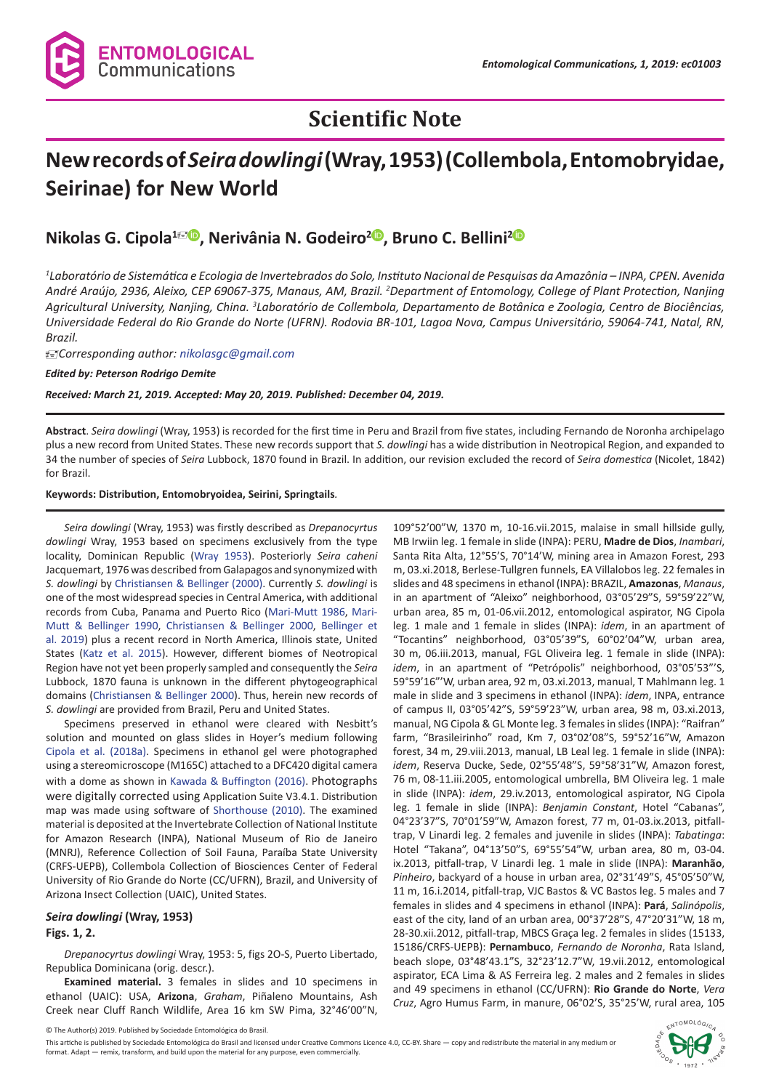

# **Scientific Note**

# **New records of** *Seira dowlingi* **(Wray, 1953) (Collembola, Entomobryidae, Seirinae) for New World**

# **Nikolas G. Cipola<sup>1 <b>D**. Nerivânia N. Godeiro<sup>[2](https://orcid.org/0000-0001-7881-9436)</sup><sup>D</sup>. Bruno C. Bellini<sup>2</sup><sup>D</sup></sup>

*1 Laboratório de Sistemática e Ecologia de Invertebrados do Solo, Instituto Nacional de Pesquisas da Amazônia – INPA, CPEN. Avenida André Araújo, 2936, Aleixo, CEP 69067-375, Manaus, AM, Brazil. 2 Department of Entomology, College of Plant Protection, Nanjing*  Agricultural University, Nanjing, China. <sup>3</sup>Laboratório de Collembola, Departamento de Botânica e Zoologia, Centro de Biociências, *Universidade Federal do Rio Grande do Norte (UFRN). Rodovia BR-101, Lagoa Nova, Campus Universitário, 59064-741, Natal, RN, Brazil.*

*Corresponding author: nikolasgc@gmail.com*

*Edited by: Peterson Rodrigo Demite*

#### *Received: March 21, 2019. Accepted: May 20, 2019. Published: December 04, 2019.*

**Abstract**. *Seira dowlingi* (Wray, 1953) is recorded for the first time in Peru and Brazil from five states, including Fernando de Noronha archipelago plus a new record from United States. These new records support that *S. dowlingi* has a wide distribution in Neotropical Region, and expanded to 34 the number of species of *Seira* Lubbock, 1870 found in Brazil. In addition, our revision excluded the record of *Seira domestica* (Nicolet, 1842) for Brazil.

#### **Keywords: Distribution, Entomobryoidea, Seirini, Springtails***.*

*Seira dowlingi* (Wray, 1953) was firstly described as *Drepanocyrtus dowlingi* Wray, 1953 based on specimens exclusively from the type locality, Dominican Republic ([Wray 1953](#page-2-0)). Posteriorly *Seira caheni*  Jacquemart, 1976 was described from Galapagos and synonymized with *S. dowlingi* by [Christiansen & Bellinger \(2000\).](#page-2-1) Currently *S. dowlingi* is one of the most widespread species in Central America, with additional records from Cuba, Panama and Puerto Rico [\(Mari-Mutt 1986](#page-2-2), [Mari-](#page-2-3)[Mutt & Bellinger 1990](#page-2-3), [Christiansen & Bellinger 2000](#page-2-1), [Bellinger et](#page-2-4)  [al. 2019](#page-2-4)) plus a recent record in North America, Illinois state, United States [\(Katz et al. 2015](#page-2-5)). However, different biomes of Neotropical Region have not yet been properly sampled and consequently the *Seira*  Lubbock, 1870 fauna is unknown in the different phytogeographical domains ([Christiansen & Bellinger 2000\)](#page-2-1). Thus, herein new records of *S. dowlingi* are provided from Brazil, Peru and United States.

Specimens preserved in ethanol were cleared with Nesbitt's solution and mounted on glass slides in Hoyer's medium following [Cipola et al. \(2018a\).](#page-2-6) Specimens in ethanol gel were photographed using a stereomicroscope (M165C) attached to a DFC420 digital camera with a dome as shown in [Kawada & Buffington \(2016\).](#page-2-7) Photographs were digitally corrected using Application Suite V3.4.1. Distribution map was made using software of [Shorthouse \(2010\).](#page-2-8) The examined material is deposited at the Invertebrate Collection of National Institute for Amazon Research (INPA), National Museum of Rio de Janeiro (MNRJ), Reference Collection of Soil Fauna, Paraíba State University (CRFS-UEPB), Collembola Collection of Biosciences Center of Federal University of Rio Grande do Norte (CC/UFRN), Brazil, and University of Arizona Insect Collection (UAIC), United States.

#### *Seira dowlingi* **(Wray, 1953)**

#### **Figs. 1, 2.**

*Drepanocyrtus dowlingi* Wray, 1953: 5, figs 2O-S, Puerto Libertado, Republica Dominicana (orig. descr.).

**Examined material.** 3 females in slides and 10 specimens in ethanol (UAIC): USA, **Arizona**, *Graham*, Piñaleno Mountains, Ash Creek near Cluff Ranch Wildlife, Area 16 km SW Pima, 32°46'00"N,

109°52'00"W, 1370 m, 10-16.vii.2015, malaise in small hillside gully, MB Irwiin leg. 1 female in slide (INPA): PERU, **Madre de Dios**, *Inambari*, Santa Rita Alta, 12°55'S, 70°14'W, mining area in Amazon Forest, 293 m, 03.xi.2018, Berlese-Tullgren funnels, EA Villalobos leg. 22 females in slides and 48 specimens in ethanol (INPA): BRAZIL, **Amazonas**, *Manaus*, in an apartment of "Aleixo" neighborhood, 03°05'29"S, 59°59'22"W, urban area, 85 m, 01-06.vii.2012, entomological aspirator, NG Cipola leg. 1 male and 1 female in slides (INPA): *idem*, in an apartment of "Tocantins" neighborhood, 03°05'39"S, 60°02'04"W, urban area, 30 m, 06.iii.2013, manual, FGL Oliveira leg. 1 female in slide (INPA): *idem*, in an apartment of "Petrópolis" neighborhood, 03°05'53"'S, 59°59'16"'W, urban area, 92 m, 03.xi.2013, manual, T Mahlmann leg. 1 male in slide and 3 specimens in ethanol (INPA): *idem*, INPA, entrance of campus II, 03°05'42"S, 59°59'23"W, urban area, 98 m, 03.xi.2013, manual, NG Cipola & GL Monte leg. 3 females in slides (INPA): "Raifran" farm, "Brasileirinho" road, Km 7, 03°02'08"S, 59°52'16"W, Amazon forest, 34 m, 29.viii.2013, manual, LB Leal leg. 1 female in slide (INPA): *idem*, Reserva Ducke, Sede, 02°55'48"S, 59°58'31"W, Amazon forest, 76 m, 08-11.iii.2005, entomological umbrella, BM Oliveira leg. 1 male in slide (INPA): *idem*, 29.iv.2013, entomological aspirator, NG Cipola leg. 1 female in slide (INPA): *Benjamin Constant*, Hotel "Cabanas", 04°23'37"S, 70°01'59"W, Amazon forest, 77 m, 01-03.ix.2013, pitfalltrap, V Linardi leg. 2 females and juvenile in slides (INPA): *Tabatinga*: Hotel "Takana", 04°13'50"S, 69°55'54"W, urban area, 80 m, 03-04. ix.2013, pitfall-trap, V Linardi leg. 1 male in slide (INPA): **Maranhão**, *Pinheiro*, backyard of a house in urban area, 02°31'49"S, 45°05'50"W, 11 m, 16.i.2014, pitfall-trap, VJC Bastos & VC Bastos leg. 5 males and 7 females in slides and 4 specimens in ethanol (INPA): **Pará**, *Salinópolis*, east of the city, land of an urban area, 00°37'28"S, 47°20'31"W, 18 m, 28-30.xii.2012, pitfall-trap, MBCS Graça leg. 2 females in slides (15133, 15186/CRFS-UEPB): **Pernambuco**, *Fernando de Noronha*, Rata Island, beach slope, 03°48'43.1"S, 32°23'12.7"W, 19.vii.2012, entomological aspirator, ECA Lima & AS Ferreira leg. 2 males and 2 females in slides and 49 specimens in ethanol (CC/UFRN): **Rio Grande do Norte**, *Vera Cruz*, Agro Humus Farm, in manure, 06°02'S, 35°25'W, rural area, 105

© The Author(s) 2019. Published by Sociedade Entomológica do Brasil.

This artiche is published by Sociedade Entomológica do Brasil and licensed under Creative Commons Licence 4.0, CC-BY. Share — copy and redistribute the material in any medium or format. Adapt — remix, transform, and build upon the material for any purpose, even commercially.

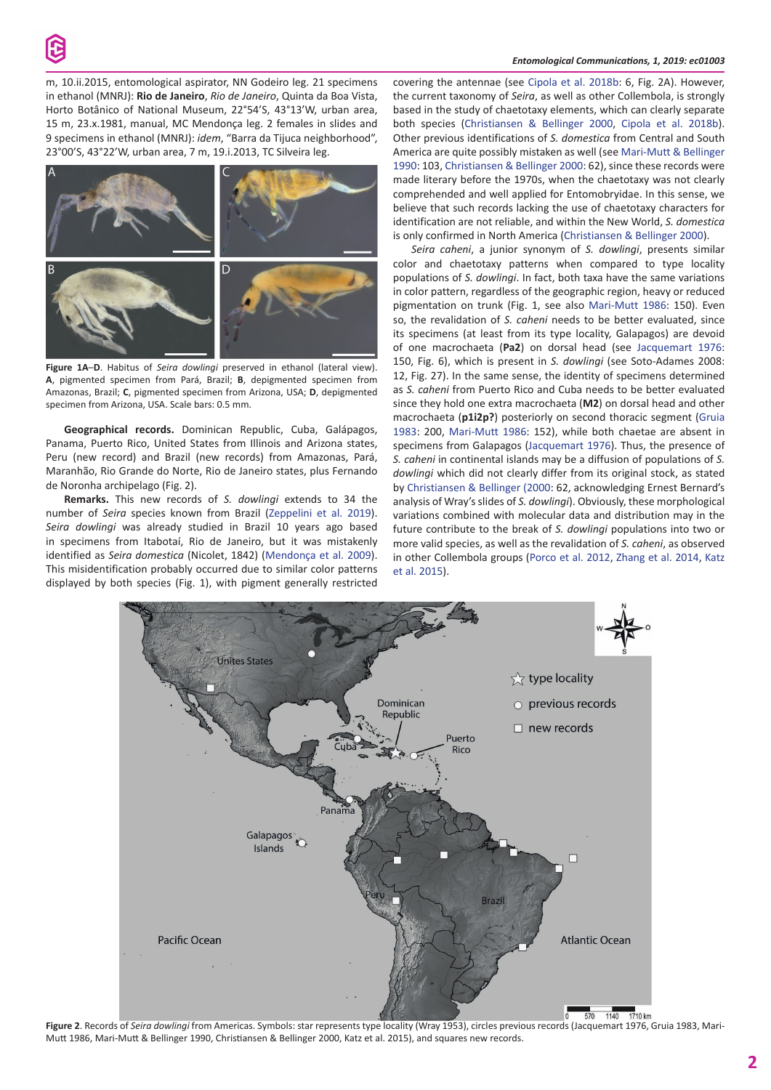

m, 10.ii.2015, entomological aspirator, NN Godeiro leg. 21 specimens in ethanol (MNRJ): **Rio de Janeiro**, *Rio de Janeiro*, Quinta da Boa Vista, Horto Botânico of National Museum, 22°54'S, 43°13'W, urban area, 15 m, 23.x.1981, manual, MC Mendonça leg. 2 females in slides and 9 specimens in ethanol (MNRJ): *idem*, "Barra da Tijuca neighborhood", 23°00'S, 43°22'W, urban area, 7 m, 19.i.2013, TC Silveira leg.



**Figure 1A**–**D**. Habitus of *Seira dowlingi* preserved in ethanol (lateral view). **A**, pigmented specimen from Pará, Brazil; **B**, depigmented specimen from Amazonas, Brazil; **C**, pigmented specimen from Arizona, USA; **D**, depigmented specimen from Arizona, USA. Scale bars: 0.5 mm.

**Geographical records.** Dominican Republic, Cuba, Galápagos, Panama, Puerto Rico, United States from Illinois and Arizona states, Peru (new record) and Brazil (new records) from Amazonas, Pará, Maranhão, Rio Grande do Norte, Rio de Janeiro states, plus Fernando de Noronha archipelago (Fig. 2).

**Remarks.** This new records of *S. dowlingi* extends to 34 the number of *Seira* species known from Brazil ([Zeppelini et al. 2019](#page-2-9)). *Seira dowlingi* was already studied in Brazil 10 years ago based in specimens from Itabotaí, Rio de Janeiro, but it was mistakenly identified as *Seira domestica* (Nicolet, 1842) (Mendonça et al. 2009). This misidentification probably occurred due to similar color patterns displayed by both species (Fig. 1), with pigment generally restricted

covering the antennae (see [Cipola et al. 2018b:](#page-2-10) 6, Fig. 2A). However, the current taxonomy of *Seira*, as well as other Collembola, is strongly based in the study of chaetotaxy elements, which can clearly separate both species ([Christiansen & Bellinger 2000](#page-2-1), [Cipola et al. 2018b](#page-2-10)). Other previous identifications of *S. domestica* from Central and South America are quite possibly mistaken as well (see Mari[-Mutt & Bellinger](#page-2-3)  [1990:](#page-2-3) 103, [Christiansen & Bellinger 2000](#page-2-1): 62), since these records were made literary before the 1970s, when the chaetotaxy was not clearly comprehended and well applied for Entomobryidae. In this sense, we believe that such records lacking the use of chaetotaxy characters for identification are not reliable, and within the New World, *S. domestica* is only confirmed in North America ([Christiansen & Bellinger 2000](#page-2-1)).

*Seira caheni*, a junior synonym of *S. dowlingi*, presents similar color and chaetotaxy patterns when compared to type locality populations of *S. dowlingi*. In fact, both taxa have the same variations in color pattern, regardless of the geographic region, heavy or reduced pigmentation on trunk (Fig. 1, see also [Mari-Mutt 1986:](#page-2-2) 150). Even so, the revalidation of *S. caheni* needs to be better evaluated, since its specimens (at least from its type locality, Galapagos) are devoid of one macrochaeta (**Pa2**) on dorsal head (see [Jacquemart 1976](#page-2-11): 150, Fig. 6), which is present in *S. dowlingi* (see Soto-Adames 2008: 12, Fig. 27). In the same sense, the identity of specimens determined as *S. caheni* from Puerto Rico and Cuba needs to be better evaluated since they hold one extra macrochaeta (**M2**) on dorsal head and other macrochaeta (**p1i2p?**) posteriorly on second thoracic segment ([Gruia](#page-2-12)  [1983:](#page-2-12) 200, [Mari-Mutt 1986:](#page-2-2) 152), while both chaetae are absent in specimens from Galapagos [\(Jacquemart 1976\)](#page-2-11). Thus, the presence of *S. caheni* in continental islands may be a diffusion of populations of *S. dowlingi* which did not clearly differ from its original stock, as stated by [Christiansen & Bellinger \(2000](#page-2-1): 62, acknowledging Ernest Bernard's analysis of Wray's slides of *S. dowlingi*). Obviously, these morphological variations combined with molecular data and distribution may in the future contribute to the break of *S. dowlingi* populations into two or more valid species, as well as the revalidation of *S. caheni*, as observed in other Collembola groups [\(Porco et al. 2012](#page-2-13), [Zhang et al. 2014](#page-2-14), [Katz](#page-2-5)  [et al. 2015](#page-2-5)).



**Figure 2**. Records of *Seira dowlingi* from Americas. Symbols: star represents type locality (Wray 1953), circles previous records (Jacquemart 1976, Gruia 1983, Mari-Mutt 1986, Mari-Mutt & Bellinger 1990, Christiansen & Bellinger 2000, Katz et al. 2015), and squares new records.